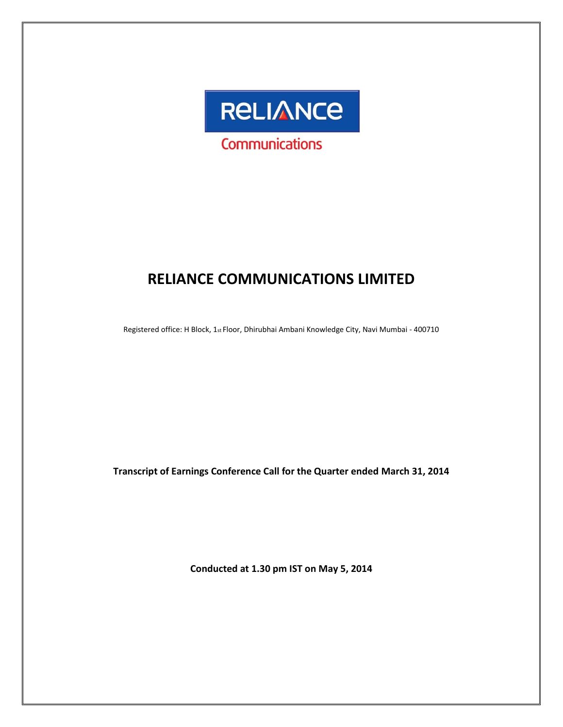

# **RELIANCE COMMUNICATIONS LIMITED**

Registered office: H Block, 1st Floor, Dhirubhai Ambani Knowledge City, Navi Mumbai - 400710

**Transcript of Earnings Conference Call for the Quarter ended March 31, 2014**

**Conducted at 1.30 pm IST on May 5, 2014**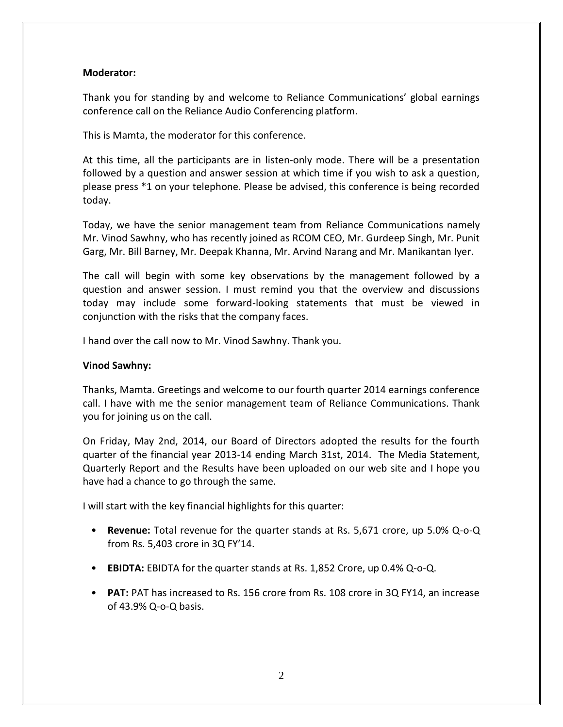# **Moderator:**

Thank you for standing by and welcome to Reliance Communications' global earnings conference call on the Reliance Audio Conferencing platform.

This is Mamta, the moderator for this conference.

At this time, all the participants are in listen-only mode. There will be a presentation followed by a question and answer session at which time if you wish to ask a question, please press \*1 on your telephone. Please be advised, this conference is being recorded today.

Today, we have the senior management team from Reliance Communications namely Mr. Vinod Sawhny, who has recently joined as RCOM CEO, Mr. Gurdeep Singh, Mr. Punit Garg, Mr. Bill Barney, Mr. Deepak Khanna, Mr. Arvind Narang and Mr. Manikantan Iyer.

The call will begin with some key observations by the management followed by a question and answer session. I must remind you that the overview and discussions today may include some forward-looking statements that must be viewed in conjunction with the risks that the company faces.

I hand over the call now to Mr. Vinod Sawhny. Thank you.

# **Vinod Sawhny:**

Thanks, Mamta. Greetings and welcome to our fourth quarter 2014 earnings conference call. I have with me the senior management team of Reliance Communications. Thank you for joining us on the call.

On Friday, May 2nd, 2014, our Board of Directors adopted the results for the fourth quarter of the financial year 2013-14 ending March 31st, 2014. The Media Statement, Quarterly Report and the Results have been uploaded on our web site and I hope you have had a chance to go through the same.

I will start with the key financial highlights for this quarter:

- **Revenue:** Total revenue for the quarter stands at Rs. 5,671 crore, up 5.0% Q-o-Q from Rs. 5,403 crore in 3Q FY'14.
- **EBIDTA:** EBIDTA for the quarter stands at Rs. 1,852 Crore, up 0.4% Q-o-Q.
- **PAT:** PAT has increased to Rs. 156 crore from Rs. 108 crore in 3Q FY14, an increase of 43.9% Q-o-Q basis.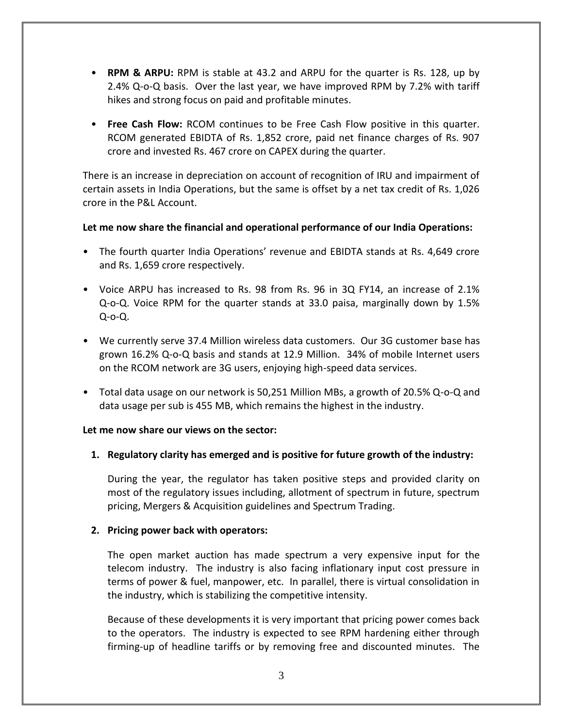- **RPM & ARPU:** RPM is stable at 43.2 and ARPU for the quarter is Rs. 128, up by 2.4% Q-o-Q basis. Over the last year, we have improved RPM by 7.2% with tariff hikes and strong focus on paid and profitable minutes.
- **Free Cash Flow:** RCOM continues to be Free Cash Flow positive in this quarter. RCOM generated EBIDTA of Rs. 1,852 crore, paid net finance charges of Rs. 907 crore and invested Rs. 467 crore on CAPEX during the quarter.

There is an increase in depreciation on account of recognition of IRU and impairment of certain assets in India Operations, but the same is offset by a net tax credit of Rs. 1,026 crore in the P&L Account.

# **Let me now share the financial and operational performance of our India Operations:**

- The fourth quarter India Operations' revenue and EBIDTA stands at Rs. 4,649 crore and Rs. 1,659 crore respectively.
- Voice ARPU has increased to Rs. 98 from Rs. 96 in 3Q FY14, an increase of 2.1% Q-o-Q. Voice RPM for the quarter stands at 33.0 paisa, marginally down by 1.5% Q-o-Q.
- We currently serve 37.4 Million wireless data customers. Our 3G customer base has grown 16.2% Q-o-Q basis and stands at 12.9 Million. 34% of mobile Internet users on the RCOM network are 3G users, enjoying high-speed data services.
- Total data usage on our network is 50,251 Million MBs, a growth of 20.5% Q-o-Q and data usage per sub is 455 MB, which remains the highest in the industry.

# **Let me now share our views on the sector:**

# **1. Regulatory clarity has emerged and is positive for future growth of the industry:**

During the year, the regulator has taken positive steps and provided clarity on most of the regulatory issues including, allotment of spectrum in future, spectrum pricing, Mergers & Acquisition guidelines and Spectrum Trading.

# **2. Pricing power back with operators:**

The open market auction has made spectrum a very expensive input for the telecom industry. The industry is also facing inflationary input cost pressure in terms of power & fuel, manpower, etc. In parallel, there is virtual consolidation in the industry, which is stabilizing the competitive intensity.

Because of these developments it is very important that pricing power comes back to the operators. The industry is expected to see RPM hardening either through firming-up of headline tariffs or by removing free and discounted minutes. The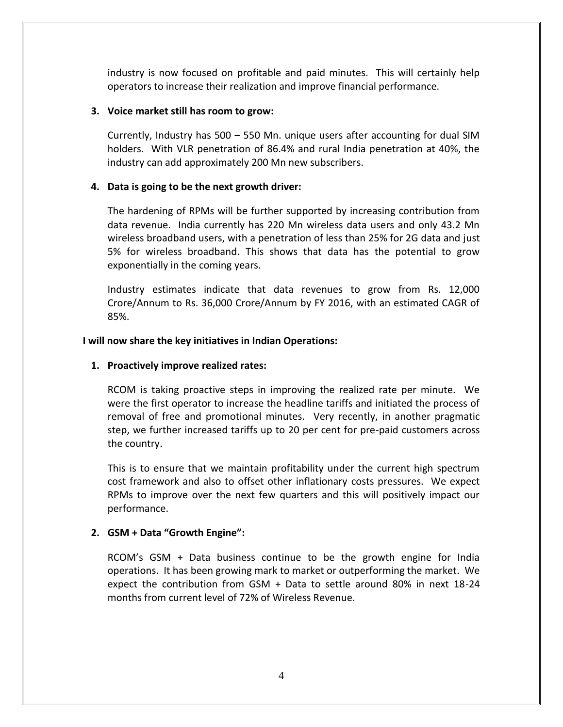industry is now focused on profitable and paid minutes. This will certainly help operators to increase their realization and improve financial performance.

# **3. Voice market still has room to grow:**

Currently, Industry has 500 – 550 Mn. unique users after accounting for dual SIM holders. With VLR penetration of 86.4% and rural India penetration at 40%, the industry can add approximately 200 Mn new subscribers.

# **4. Data is going to be the next growth driver:**

The hardening of RPMs will be further supported by increasing contribution from data revenue. India currently has 220 Mn wireless data users and only 43.2 Mn wireless broadband users, with a penetration of less than 25% for 2G data and just 5% for wireless broadband. This shows that data has the potential to grow exponentially in the coming years.

Industry estimates indicate that data revenues to grow from Rs. 12,000 Crore/Annum to Rs. 36,000 Crore/Annum by FY 2016, with an estimated CAGR of 85%.

# **I will now share the key initiatives in Indian Operations:**

# **1. Proactively improve realized rates:**

RCOM is taking proactive steps in improving the realized rate per minute. We were the first operator to increase the headline tariffs and initiated the process of removal of free and promotional minutes. Very recently, in another pragmatic step, we further increased tariffs up to 20 per cent for pre-paid customers across the country.

This is to ensure that we maintain profitability under the current high spectrum cost framework and also to offset other inflationary costs pressures. We expect RPMs to improve over the next few quarters and this will positively impact our performance.

# **2. GSM + Data "Growth Engine":**

RCOM's GSM + Data business continue to be the growth engine for India operations. It has been growing mark to market or outperforming the market. We expect the contribution from GSM + Data to settle around 80% in next 18-24 months from current level of 72% of Wireless Revenue.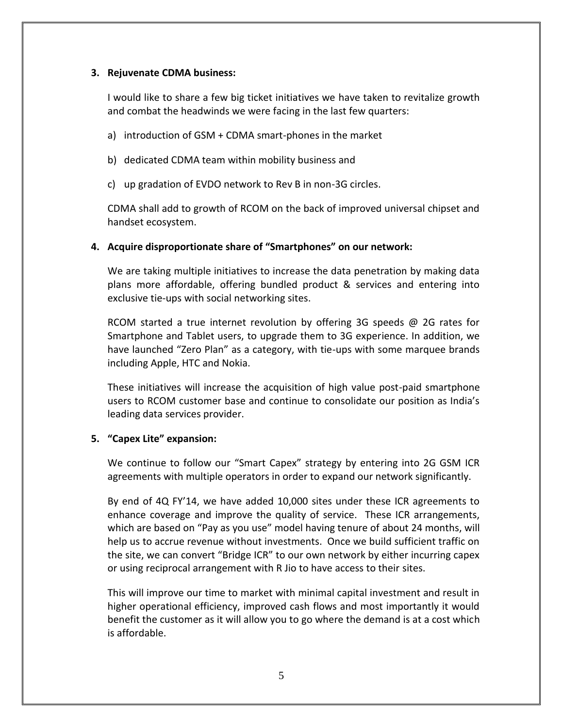# **3. Rejuvenate CDMA business:**

I would like to share a few big ticket initiatives we have taken to revitalize growth and combat the headwinds we were facing in the last few quarters:

- a) introduction of GSM + CDMA smart-phones in the market
- b) dedicated CDMA team within mobility business and
- c) up gradation of EVDO network to Rev B in non-3G circles.

CDMA shall add to growth of RCOM on the back of improved universal chipset and handset ecosystem.

# **4. Acquire disproportionate share of "Smartphones" on our network:**

We are taking multiple initiatives to increase the data penetration by making data plans more affordable, offering bundled product & services and entering into exclusive tie-ups with social networking sites.

RCOM started a true internet revolution by offering 3G speeds @ 2G rates for Smartphone and Tablet users, to upgrade them to 3G experience. In addition, we have launched "Zero Plan" as a category, with tie-ups with some marquee brands including Apple, HTC and Nokia.

These initiatives will increase the acquisition of high value post-paid smartphone users to RCOM customer base and continue to consolidate our position as India's leading data services provider.

# **5. "Capex Lite" expansion:**

We continue to follow our "Smart Capex" strategy by entering into 2G GSM ICR agreements with multiple operators in order to expand our network significantly.

By end of 4Q FY'14, we have added 10,000 sites under these ICR agreements to enhance coverage and improve the quality of service. These ICR arrangements, which are based on "Pay as you use" model having tenure of about 24 months, will help us to accrue revenue without investments. Once we build sufficient traffic on the site, we can convert "Bridge ICR" to our own network by either incurring capex or using reciprocal arrangement with R Jio to have access to their sites.

This will improve our time to market with minimal capital investment and result in higher operational efficiency, improved cash flows and most importantly it would benefit the customer as it will allow you to go where the demand is at a cost which is affordable.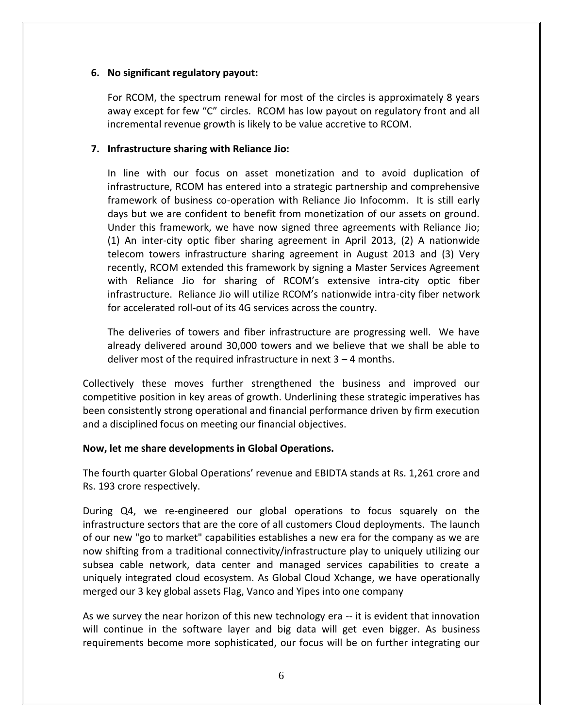# **6. No significant regulatory payout:**

For RCOM, the spectrum renewal for most of the circles is approximately 8 years away except for few "C" circles. RCOM has low payout on regulatory front and all incremental revenue growth is likely to be value accretive to RCOM.

# **7. Infrastructure sharing with Reliance Jio:**

In line with our focus on asset monetization and to avoid duplication of infrastructure, RCOM has entered into a strategic partnership and comprehensive framework of business co-operation with Reliance Jio Infocomm. It is still early days but we are confident to benefit from monetization of our assets on ground. Under this framework, we have now signed three agreements with Reliance Jio; (1) An inter-city optic fiber sharing agreement in April 2013, (2) A nationwide telecom towers infrastructure sharing agreement in August 2013 and (3) Very recently, RCOM extended this framework by signing a Master Services Agreement with Reliance Jio for sharing of RCOM's extensive intra-city optic fiber infrastructure. Reliance Jio will utilize RCOM's nationwide intra-city fiber network for accelerated roll-out of its 4G services across the country.

The deliveries of towers and fiber infrastructure are progressing well. We have already delivered around 30,000 towers and we believe that we shall be able to deliver most of the required infrastructure in next 3 – 4 months.

Collectively these moves further strengthened the business and improved our competitive position in key areas of growth. Underlining these strategic imperatives has been consistently strong operational and financial performance driven by firm execution and a disciplined focus on meeting our financial objectives.

# **Now, let me share developments in Global Operations.**

The fourth quarter Global Operations' revenue and EBIDTA stands at Rs. 1,261 crore and Rs. 193 crore respectively.

During Q4, we re-engineered our global operations to focus squarely on the infrastructure sectors that are the core of all customers Cloud deployments. The launch of our new "go to market" capabilities establishes a new era for the company as we are now shifting from a traditional connectivity/infrastructure play to uniquely utilizing our subsea cable network, data center and managed services capabilities to create a uniquely integrated cloud ecosystem. As Global Cloud Xchange, we have operationally merged our 3 key global assets Flag, Vanco and Yipes into one company

As we survey the near horizon of this new technology era -- it is evident that innovation will continue in the software layer and big data will get even bigger. As business requirements become more sophisticated, our focus will be on further integrating our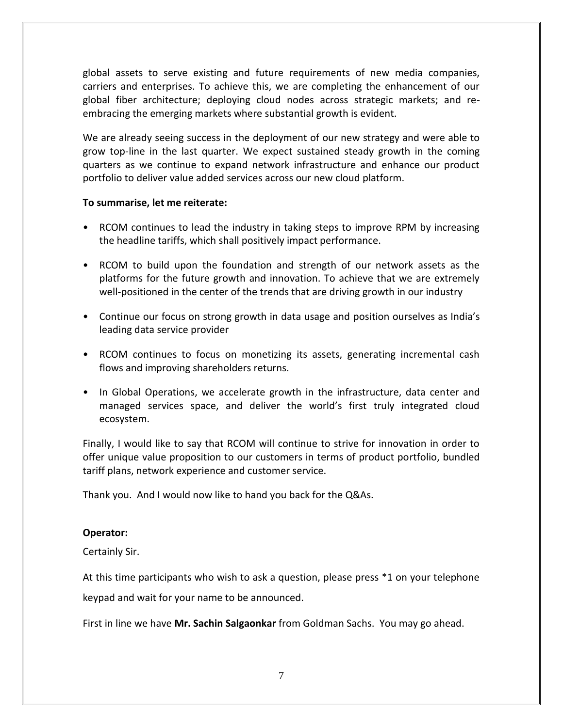global assets to serve existing and future requirements of new media companies, carriers and enterprises. To achieve this, we are completing the enhancement of our global fiber architecture; deploying cloud nodes across strategic markets; and reembracing the emerging markets where substantial growth is evident.

We are already seeing success in the deployment of our new strategy and were able to grow top-line in the last quarter. We expect sustained steady growth in the coming quarters as we continue to expand network infrastructure and enhance our product portfolio to deliver value added services across our new cloud platform.

# **To summarise, let me reiterate:**

- RCOM continues to lead the industry in taking steps to improve RPM by increasing the headline tariffs, which shall positively impact performance.
- RCOM to build upon the foundation and strength of our network assets as the platforms for the future growth and innovation. To achieve that we are extremely well-positioned in the center of the trends that are driving growth in our industry
- Continue our focus on strong growth in data usage and position ourselves as India's leading data service provider
- RCOM continues to focus on monetizing its assets, generating incremental cash flows and improving shareholders returns.
- In Global Operations, we accelerate growth in the infrastructure, data center and managed services space, and deliver the world's first truly integrated cloud ecosystem.

Finally, I would like to say that RCOM will continue to strive for innovation in order to offer unique value proposition to our customers in terms of product portfolio, bundled tariff plans, network experience and customer service.

Thank you. And I would now like to hand you back for the Q&As.

# **Operator:**

Certainly Sir.

At this time participants who wish to ask a question, please press \*1 on your telephone keypad and wait for your name to be announced.

First in line we have **Mr. Sachin Salgaonkar** from Goldman Sachs. You may go ahead.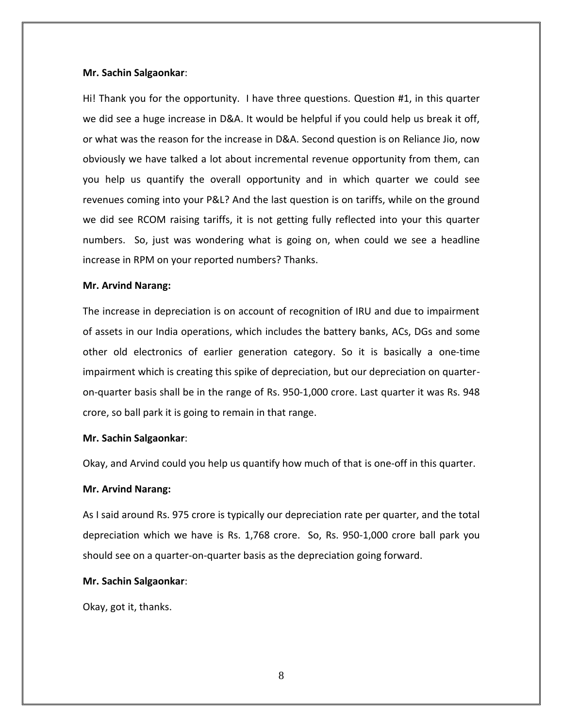#### **Mr. Sachin Salgaonkar**:

Hi! Thank you for the opportunity. I have three questions. Question #1, in this quarter we did see a huge increase in D&A. It would be helpful if you could help us break it off, or what was the reason for the increase in D&A. Second question is on Reliance Jio, now obviously we have talked a lot about incremental revenue opportunity from them, can you help us quantify the overall opportunity and in which quarter we could see revenues coming into your P&L? And the last question is on tariffs, while on the ground we did see RCOM raising tariffs, it is not getting fully reflected into your this quarter numbers. So, just was wondering what is going on, when could we see a headline increase in RPM on your reported numbers? Thanks.

#### **Mr. Arvind Narang:**

The increase in depreciation is on account of recognition of IRU and due to impairment of assets in our India operations, which includes the battery banks, ACs, DGs and some other old electronics of earlier generation category. So it is basically a one-time impairment which is creating this spike of depreciation, but our depreciation on quarteron-quarter basis shall be in the range of Rs. 950-1,000 crore. Last quarter it was Rs. 948 crore, so ball park it is going to remain in that range.

#### **Mr. Sachin Salgaonkar**:

Okay, and Arvind could you help us quantify how much of that is one-off in this quarter.

# **Mr. Arvind Narang:**

As I said around Rs. 975 crore is typically our depreciation rate per quarter, and the total depreciation which we have is Rs. 1,768 crore. So, Rs. 950-1,000 crore ball park you should see on a quarter-on-quarter basis as the depreciation going forward.

### **Mr. Sachin Salgaonkar**:

Okay, got it, thanks.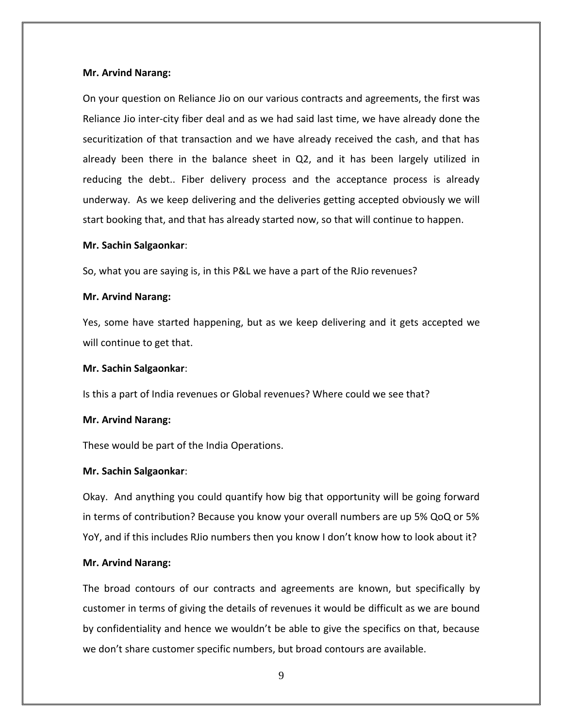On your question on Reliance Jio on our various contracts and agreements, the first was Reliance Jio inter-city fiber deal and as we had said last time, we have already done the securitization of that transaction and we have already received the cash, and that has already been there in the balance sheet in Q2, and it has been largely utilized in reducing the debt.. Fiber delivery process and the acceptance process is already underway. As we keep delivering and the deliveries getting accepted obviously we will start booking that, and that has already started now, so that will continue to happen.

#### **Mr. Sachin Salgaonkar**:

So, what you are saying is, in this P&L we have a part of the RJio revenues?

#### **Mr. Arvind Narang:**

Yes, some have started happening, but as we keep delivering and it gets accepted we will continue to get that.

#### **Mr. Sachin Salgaonkar**:

Is this a part of India revenues or Global revenues? Where could we see that?

#### **Mr. Arvind Narang:**

These would be part of the India Operations.

# **Mr. Sachin Salgaonkar**:

Okay. And anything you could quantify how big that opportunity will be going forward in terms of contribution? Because you know your overall numbers are up 5% QoQ or 5% YoY, and if this includes RJio numbers then you know I don't know how to look about it?

#### **Mr. Arvind Narang:**

The broad contours of our contracts and agreements are known, but specifically by customer in terms of giving the details of revenues it would be difficult as we are bound by confidentiality and hence we wouldn't be able to give the specifics on that, because we don't share customer specific numbers, but broad contours are available.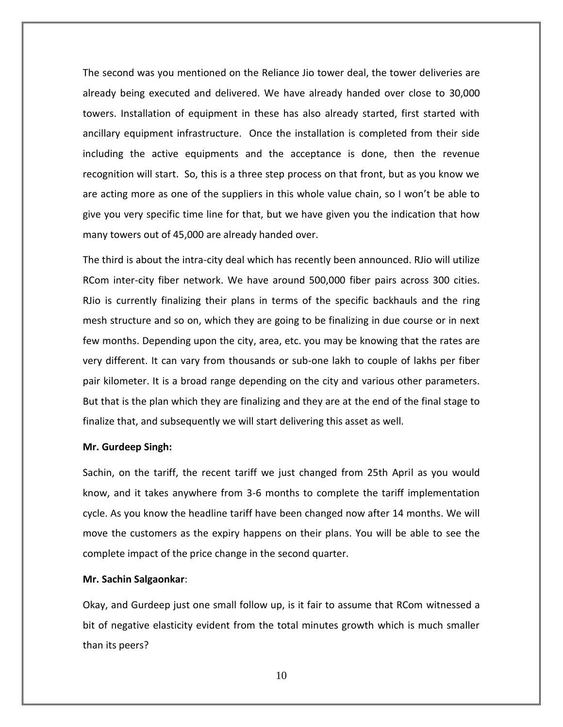The second was you mentioned on the Reliance Jio tower deal, the tower deliveries are already being executed and delivered. We have already handed over close to 30,000 towers. Installation of equipment in these has also already started, first started with ancillary equipment infrastructure. Once the installation is completed from their side including the active equipments and the acceptance is done, then the revenue recognition will start. So, this is a three step process on that front, but as you know we are acting more as one of the suppliers in this whole value chain, so I won't be able to give you very specific time line for that, but we have given you the indication that how many towers out of 45,000 are already handed over.

The third is about the intra-city deal which has recently been announced. RJio will utilize RCom inter-city fiber network. We have around 500,000 fiber pairs across 300 cities. RJio is currently finalizing their plans in terms of the specific backhauls and the ring mesh structure and so on, which they are going to be finalizing in due course or in next few months. Depending upon the city, area, etc. you may be knowing that the rates are very different. It can vary from thousands or sub-one lakh to couple of lakhs per fiber pair kilometer. It is a broad range depending on the city and various other parameters. But that is the plan which they are finalizing and they are at the end of the final stage to finalize that, and subsequently we will start delivering this asset as well.

#### **Mr. Gurdeep Singh:**

Sachin, on the tariff, the recent tariff we just changed from 25th April as you would know, and it takes anywhere from 3-6 months to complete the tariff implementation cycle. As you know the headline tariff have been changed now after 14 months. We will move the customers as the expiry happens on their plans. You will be able to see the complete impact of the price change in the second quarter.

#### **Mr. Sachin Salgaonkar**:

Okay, and Gurdeep just one small follow up, is it fair to assume that RCom witnessed a bit of negative elasticity evident from the total minutes growth which is much smaller than its peers?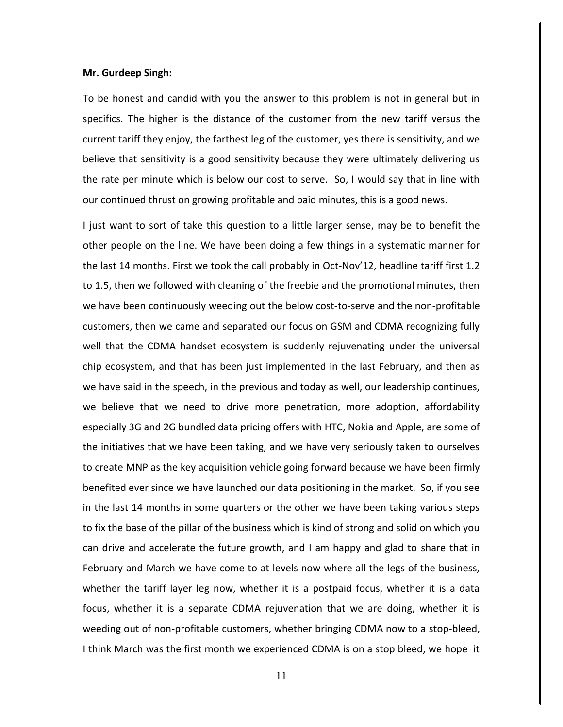#### **Mr. Gurdeep Singh:**

To be honest and candid with you the answer to this problem is not in general but in specifics. The higher is the distance of the customer from the new tariff versus the current tariff they enjoy, the farthest leg of the customer, yes there is sensitivity, and we believe that sensitivity is a good sensitivity because they were ultimately delivering us the rate per minute which is below our cost to serve. So, I would say that in line with our continued thrust on growing profitable and paid minutes, this is a good news.

I just want to sort of take this question to a little larger sense, may be to benefit the other people on the line. We have been doing a few things in a systematic manner for the last 14 months. First we took the call probably in Oct-Nov'12, headline tariff first 1.2 to 1.5, then we followed with cleaning of the freebie and the promotional minutes, then we have been continuously weeding out the below cost-to-serve and the non-profitable customers, then we came and separated our focus on GSM and CDMA recognizing fully well that the CDMA handset ecosystem is suddenly rejuvenating under the universal chip ecosystem, and that has been just implemented in the last February, and then as we have said in the speech, in the previous and today as well, our leadership continues, we believe that we need to drive more penetration, more adoption, affordability especially 3G and 2G bundled data pricing offers with HTC, Nokia and Apple, are some of the initiatives that we have been taking, and we have very seriously taken to ourselves to create MNP as the key acquisition vehicle going forward because we have been firmly benefited ever since we have launched our data positioning in the market. So, if you see in the last 14 months in some quarters or the other we have been taking various steps to fix the base of the pillar of the business which is kind of strong and solid on which you can drive and accelerate the future growth, and I am happy and glad to share that in February and March we have come to at levels now where all the legs of the business, whether the tariff layer leg now, whether it is a postpaid focus, whether it is a data focus, whether it is a separate CDMA rejuvenation that we are doing, whether it is weeding out of non-profitable customers, whether bringing CDMA now to a stop-bleed, I think March was the first month we experienced CDMA is on a stop bleed, we hope it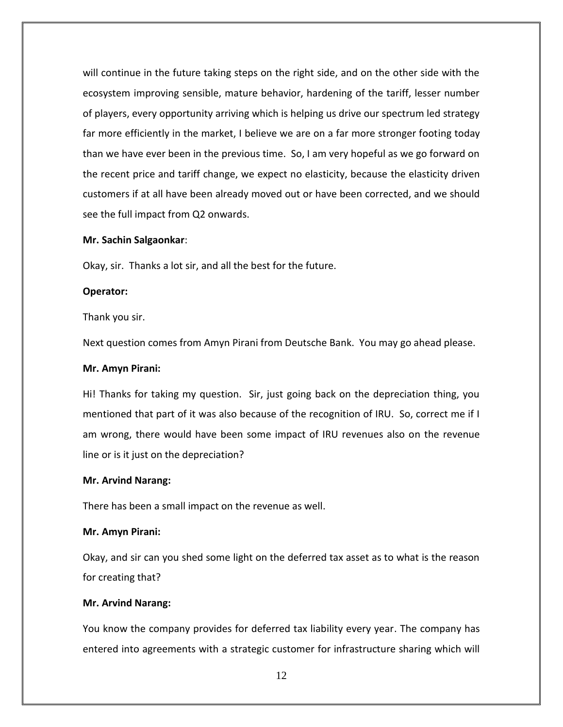will continue in the future taking steps on the right side, and on the other side with the ecosystem improving sensible, mature behavior, hardening of the tariff, lesser number of players, every opportunity arriving which is helping us drive our spectrum led strategy far more efficiently in the market, I believe we are on a far more stronger footing today than we have ever been in the previous time. So, I am very hopeful as we go forward on the recent price and tariff change, we expect no elasticity, because the elasticity driven customers if at all have been already moved out or have been corrected, and we should see the full impact from Q2 onwards.

### **Mr. Sachin Salgaonkar**:

Okay, sir. Thanks a lot sir, and all the best for the future.

### **Operator:**

Thank you sir.

Next question comes from Amyn Pirani from Deutsche Bank. You may go ahead please.

#### **Mr. Amyn Pirani:**

Hi! Thanks for taking my question. Sir, just going back on the depreciation thing, you mentioned that part of it was also because of the recognition of IRU. So, correct me if I am wrong, there would have been some impact of IRU revenues also on the revenue line or is it just on the depreciation?

#### **Mr. Arvind Narang:**

There has been a small impact on the revenue as well.

#### **Mr. Amyn Pirani:**

Okay, and sir can you shed some light on the deferred tax asset as to what is the reason for creating that?

#### **Mr. Arvind Narang:**

You know the company provides for deferred tax liability every year. The company has entered into agreements with a strategic customer for infrastructure sharing which will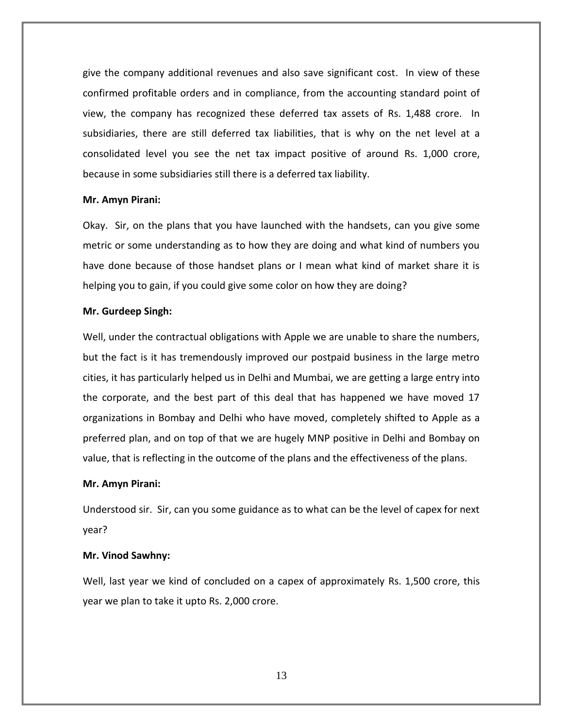give the company additional revenues and also save significant cost. In view of these confirmed profitable orders and in compliance, from the accounting standard point of view, the company has recognized these deferred tax assets of Rs. 1,488 crore. In subsidiaries, there are still deferred tax liabilities, that is why on the net level at a consolidated level you see the net tax impact positive of around Rs. 1,000 crore, because in some subsidiaries still there is a deferred tax liability.

#### **Mr. Amyn Pirani:**

Okay. Sir, on the plans that you have launched with the handsets, can you give some metric or some understanding as to how they are doing and what kind of numbers you have done because of those handset plans or I mean what kind of market share it is helping you to gain, if you could give some color on how they are doing?

#### **Mr. Gurdeep Singh:**

Well, under the contractual obligations with Apple we are unable to share the numbers, but the fact is it has tremendously improved our postpaid business in the large metro cities, it has particularly helped us in Delhi and Mumbai, we are getting a large entry into the corporate, and the best part of this deal that has happened we have moved 17 organizations in Bombay and Delhi who have moved, completely shifted to Apple as a preferred plan, and on top of that we are hugely MNP positive in Delhi and Bombay on value, that is reflecting in the outcome of the plans and the effectiveness of the plans.

#### **Mr. Amyn Pirani:**

Understood sir. Sir, can you some guidance as to what can be the level of capex for next year?

#### **Mr. Vinod Sawhny:**

Well, last year we kind of concluded on a capex of approximately Rs. 1,500 crore, this year we plan to take it upto Rs. 2,000 crore.

13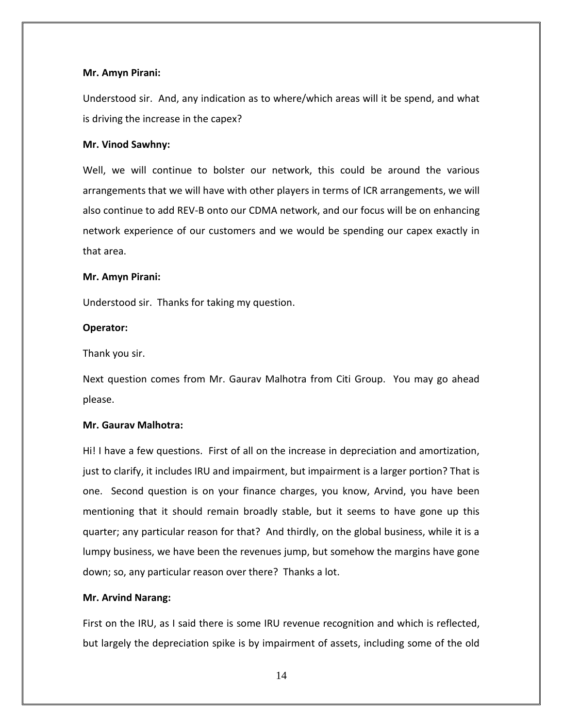### **Mr. Amyn Pirani:**

Understood sir. And, any indication as to where/which areas will it be spend, and what is driving the increase in the capex?

#### **Mr. Vinod Sawhny:**

Well, we will continue to bolster our network, this could be around the various arrangements that we will have with other players in terms of ICR arrangements, we will also continue to add REV-B onto our CDMA network, and our focus will be on enhancing network experience of our customers and we would be spending our capex exactly in that area.

#### **Mr. Amyn Pirani:**

Understood sir. Thanks for taking my question.

#### **Operator:**

Thank you sir.

Next question comes from Mr. Gaurav Malhotra from Citi Group. You may go ahead please.

### **Mr. Gaurav Malhotra:**

Hi! I have a few questions. First of all on the increase in depreciation and amortization, just to clarify, it includes IRU and impairment, but impairment is a larger portion? That is one. Second question is on your finance charges, you know, Arvind, you have been mentioning that it should remain broadly stable, but it seems to have gone up this quarter; any particular reason for that? And thirdly, on the global business, while it is a lumpy business, we have been the revenues jump, but somehow the margins have gone down; so, any particular reason over there? Thanks a lot.

#### **Mr. Arvind Narang:**

First on the IRU, as I said there is some IRU revenue recognition and which is reflected, but largely the depreciation spike is by impairment of assets, including some of the old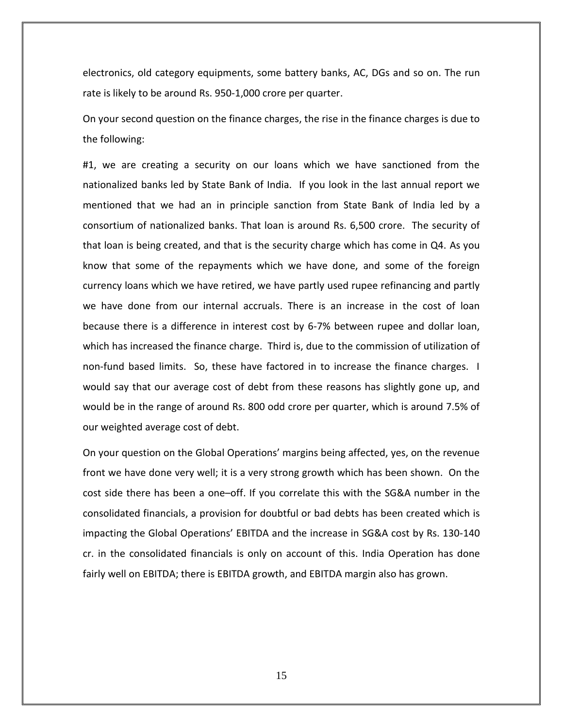electronics, old category equipments, some battery banks, AC, DGs and so on. The run rate is likely to be around Rs. 950-1,000 crore per quarter.

On your second question on the finance charges, the rise in the finance charges is due to the following:

#1, we are creating a security on our loans which we have sanctioned from the nationalized banks led by State Bank of India. If you look in the last annual report we mentioned that we had an in principle sanction from State Bank of India led by a consortium of nationalized banks. That loan is around Rs. 6,500 crore. The security of that loan is being created, and that is the security charge which has come in Q4. As you know that some of the repayments which we have done, and some of the foreign currency loans which we have retired, we have partly used rupee refinancing and partly we have done from our internal accruals. There is an increase in the cost of loan because there is a difference in interest cost by 6-7% between rupee and dollar loan, which has increased the finance charge. Third is, due to the commission of utilization of non-fund based limits. So, these have factored in to increase the finance charges. I would say that our average cost of debt from these reasons has slightly gone up, and would be in the range of around Rs. 800 odd crore per quarter, which is around 7.5% of our weighted average cost of debt.

On your question on the Global Operations' margins being affected, yes, on the revenue front we have done very well; it is a very strong growth which has been shown. On the cost side there has been a one–off. If you correlate this with the SG&A number in the consolidated financials, a provision for doubtful or bad debts has been created which is impacting the Global Operations' EBITDA and the increase in SG&A cost by Rs. 130-140 cr. in the consolidated financials is only on account of this. India Operation has done fairly well on EBITDA; there is EBITDA growth, and EBITDA margin also has grown.

15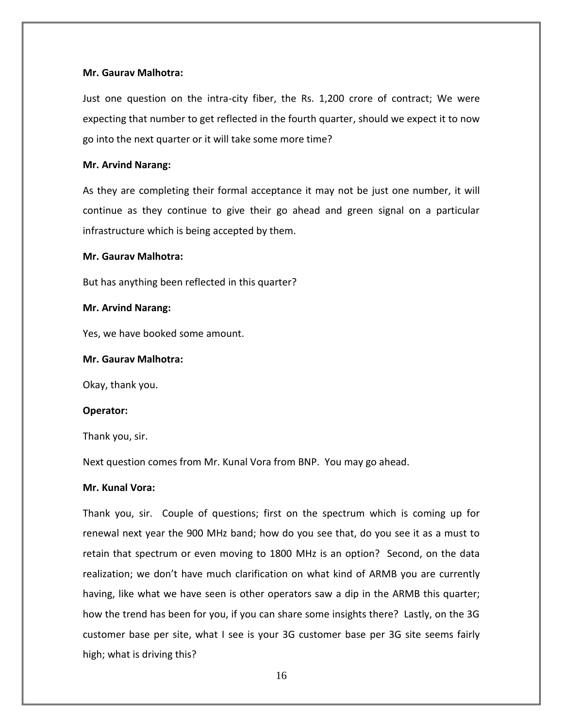# **Mr. Gaurav Malhotra:**

Just one question on the intra-city fiber, the Rs. 1,200 crore of contract; We were expecting that number to get reflected in the fourth quarter, should we expect it to now go into the next quarter or it will take some more time?

# **Mr. Arvind Narang:**

As they are completing their formal acceptance it may not be just one number, it will continue as they continue to give their go ahead and green signal on a particular infrastructure which is being accepted by them.

# **Mr. Gaurav Malhotra:**

But has anything been reflected in this quarter?

# **Mr. Arvind Narang:**

Yes, we have booked some amount.

# **Mr. Gaurav Malhotra:**

Okay, thank you.

# **Operator:**

Thank you, sir.

Next question comes from Mr. Kunal Vora from BNP. You may go ahead.

# **Mr. Kunal Vora:**

Thank you, sir. Couple of questions; first on the spectrum which is coming up for renewal next year the 900 MHz band; how do you see that, do you see it as a must to retain that spectrum or even moving to 1800 MHz is an option? Second, on the data realization; we don't have much clarification on what kind of ARMB you are currently having, like what we have seen is other operators saw a dip in the ARMB this quarter; how the trend has been for you, if you can share some insights there? Lastly, on the 3G customer base per site, what I see is your 3G customer base per 3G site seems fairly high; what is driving this?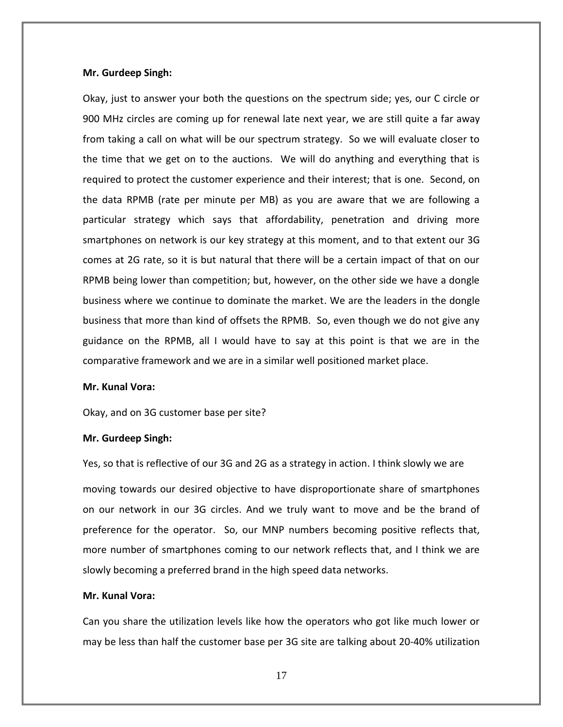#### **Mr. Gurdeep Singh:**

Okay, just to answer your both the questions on the spectrum side; yes, our C circle or 900 MHz circles are coming up for renewal late next year, we are still quite a far away from taking a call on what will be our spectrum strategy. So we will evaluate closer to the time that we get on to the auctions. We will do anything and everything that is required to protect the customer experience and their interest; that is one. Second, on the data RPMB (rate per minute per MB) as you are aware that we are following a particular strategy which says that affordability, penetration and driving more smartphones on network is our key strategy at this moment, and to that extent our 3G comes at 2G rate, so it is but natural that there will be a certain impact of that on our RPMB being lower than competition; but, however, on the other side we have a dongle business where we continue to dominate the market. We are the leaders in the dongle business that more than kind of offsets the RPMB. So, even though we do not give any guidance on the RPMB, all I would have to say at this point is that we are in the comparative framework and we are in a similar well positioned market place.

#### **Mr. Kunal Vora:**

Okay, and on 3G customer base per site?

#### **Mr. Gurdeep Singh:**

Yes, so that is reflective of our 3G and 2G as a strategy in action. I think slowly we are moving towards our desired objective to have disproportionate share of smartphones on our network in our 3G circles. And we truly want to move and be the brand of preference for the operator. So, our MNP numbers becoming positive reflects that, more number of smartphones coming to our network reflects that, and I think we are slowly becoming a preferred brand in the high speed data networks.

# **Mr. Kunal Vora:**

Can you share the utilization levels like how the operators who got like much lower or may be less than half the customer base per 3G site are talking about 20-40% utilization

17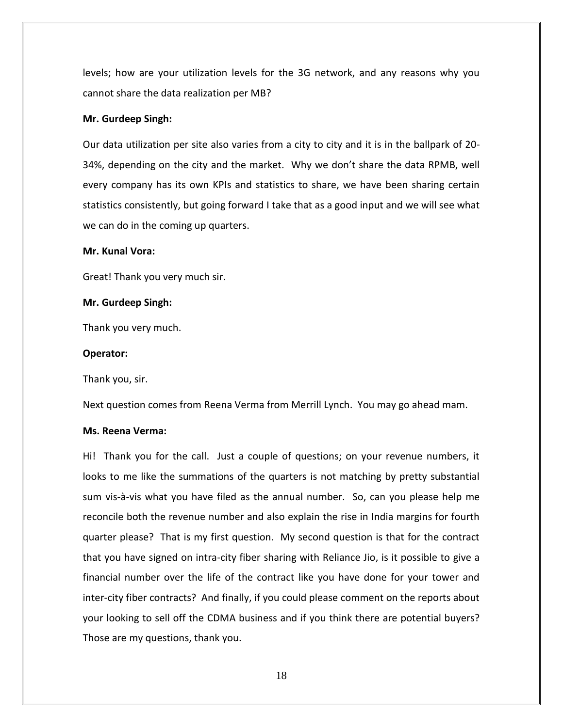levels; how are your utilization levels for the 3G network, and any reasons why you cannot share the data realization per MB?

### **Mr. Gurdeep Singh:**

Our data utilization per site also varies from a city to city and it is in the ballpark of 20- 34%, depending on the city and the market. Why we don't share the data RPMB, well every company has its own KPIs and statistics to share, we have been sharing certain statistics consistently, but going forward I take that as a good input and we will see what we can do in the coming up quarters.

#### **Mr. Kunal Vora:**

Great! Thank you very much sir.

# **Mr. Gurdeep Singh:**

Thank you very much.

### **Operator:**

Thank you, sir.

Next question comes from Reena Verma from Merrill Lynch. You may go ahead mam.

# **Ms. Reena Verma:**

Hi! Thank you for the call. Just a couple of questions; on your revenue numbers, it looks to me like the summations of the quarters is not matching by pretty substantial sum vis-à-vis what you have filed as the annual number. So, can you please help me reconcile both the revenue number and also explain the rise in India margins for fourth quarter please? That is my first question. My second question is that for the contract that you have signed on intra-city fiber sharing with Reliance Jio, is it possible to give a financial number over the life of the contract like you have done for your tower and inter-city fiber contracts? And finally, if you could please comment on the reports about your looking to sell off the CDMA business and if you think there are potential buyers? Those are my questions, thank you.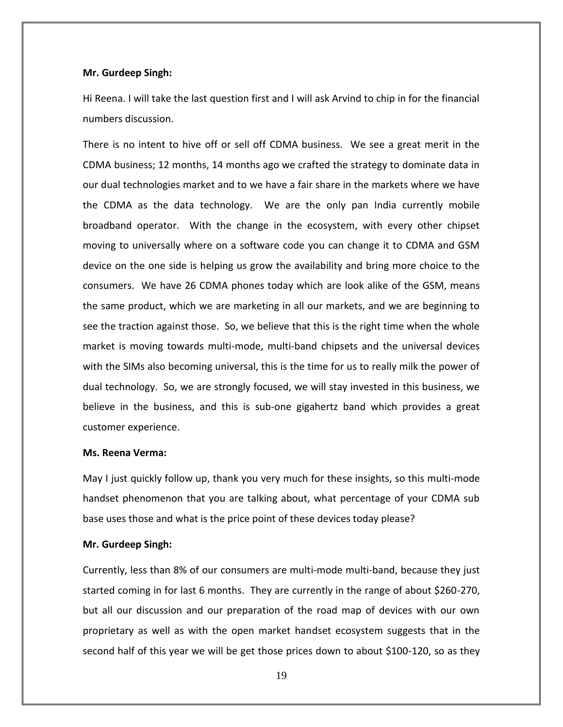#### **Mr. Gurdeep Singh:**

Hi Reena. I will take the last question first and I will ask Arvind to chip in for the financial numbers discussion.

There is no intent to hive off or sell off CDMA business. We see a great merit in the CDMA business; 12 months, 14 months ago we crafted the strategy to dominate data in our dual technologies market and to we have a fair share in the markets where we have the CDMA as the data technology. We are the only pan India currently mobile broadband operator. With the change in the ecosystem, with every other chipset moving to universally where on a software code you can change it to CDMA and GSM device on the one side is helping us grow the availability and bring more choice to the consumers. We have 26 CDMA phones today which are look alike of the GSM, means the same product, which we are marketing in all our markets, and we are beginning to see the traction against those. So, we believe that this is the right time when the whole market is moving towards multi-mode, multi-band chipsets and the universal devices with the SIMs also becoming universal, this is the time for us to really milk the power of dual technology. So, we are strongly focused, we will stay invested in this business, we believe in the business, and this is sub-one gigahertz band which provides a great customer experience.

#### **Ms. Reena Verma:**

May I just quickly follow up, thank you very much for these insights, so this multi-mode handset phenomenon that you are talking about, what percentage of your CDMA sub base uses those and what is the price point of these devices today please?

#### **Mr. Gurdeep Singh:**

Currently, less than 8% of our consumers are multi-mode multi-band, because they just started coming in for last 6 months. They are currently in the range of about \$260-270, but all our discussion and our preparation of the road map of devices with our own proprietary as well as with the open market handset ecosystem suggests that in the second half of this year we will be get those prices down to about \$100-120, so as they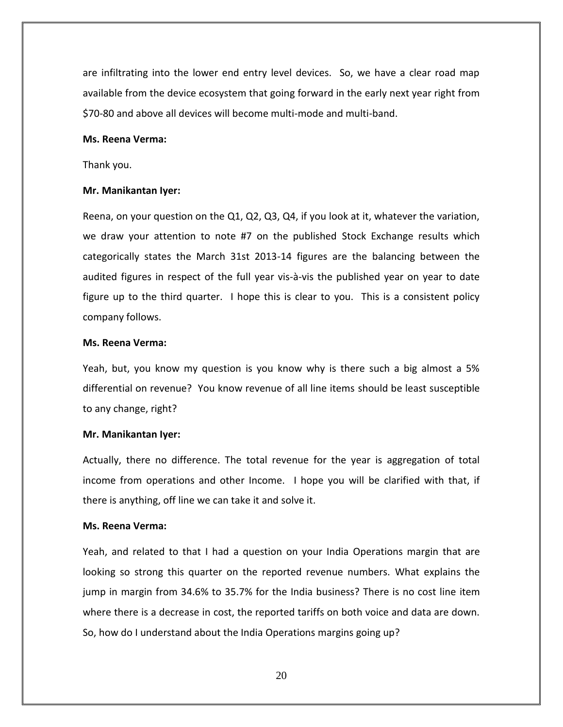are infiltrating into the lower end entry level devices. So, we have a clear road map available from the device ecosystem that going forward in the early next year right from \$70-80 and above all devices will become multi-mode and multi-band.

#### **Ms. Reena Verma:**

Thank you.

#### **Mr. Manikantan Iyer:**

Reena, on your question on the Q1, Q2, Q3, Q4, if you look at it, whatever the variation, we draw your attention to note #7 on the published Stock Exchange results which categorically states the March 31st 2013-14 figures are the balancing between the audited figures in respect of the full year vis-à-vis the published year on year to date figure up to the third quarter. I hope this is clear to you. This is a consistent policy company follows.

# **Ms. Reena Verma:**

Yeah, but, you know my question is you know why is there such a big almost a 5% differential on revenue? You know revenue of all line items should be least susceptible to any change, right?

#### **Mr. Manikantan Iyer:**

Actually, there no difference. The total revenue for the year is aggregation of total income from operations and other Income. I hope you will be clarified with that, if there is anything, off line we can take it and solve it.

### **Ms. Reena Verma:**

Yeah, and related to that I had a question on your India Operations margin that are looking so strong this quarter on the reported revenue numbers. What explains the jump in margin from 34.6% to 35.7% for the India business? There is no cost line item where there is a decrease in cost, the reported tariffs on both voice and data are down. So, how do I understand about the India Operations margins going up?

20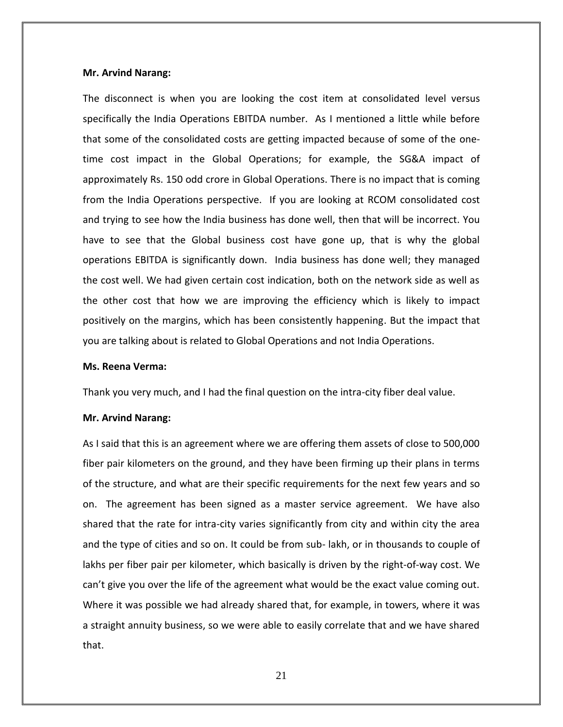The disconnect is when you are looking the cost item at consolidated level versus specifically the India Operations EBITDA number. As I mentioned a little while before that some of the consolidated costs are getting impacted because of some of the onetime cost impact in the Global Operations; for example, the SG&A impact of approximately Rs. 150 odd crore in Global Operations. There is no impact that is coming from the India Operations perspective. If you are looking at RCOM consolidated cost and trying to see how the India business has done well, then that will be incorrect. You have to see that the Global business cost have gone up, that is why the global operations EBITDA is significantly down. India business has done well; they managed the cost well. We had given certain cost indication, both on the network side as well as the other cost that how we are improving the efficiency which is likely to impact positively on the margins, which has been consistently happening. But the impact that you are talking about is related to Global Operations and not India Operations.

#### **Ms. Reena Verma:**

Thank you very much, and I had the final question on the intra-city fiber deal value.

#### **Mr. Arvind Narang:**

As I said that this is an agreement where we are offering them assets of close to 500,000 fiber pair kilometers on the ground, and they have been firming up their plans in terms of the structure, and what are their specific requirements for the next few years and so on. The agreement has been signed as a master service agreement. We have also shared that the rate for intra-city varies significantly from city and within city the area and the type of cities and so on. It could be from sub- lakh, or in thousands to couple of lakhs per fiber pair per kilometer, which basically is driven by the right-of-way cost. We can't give you over the life of the agreement what would be the exact value coming out. Where it was possible we had already shared that, for example, in towers, where it was a straight annuity business, so we were able to easily correlate that and we have shared that.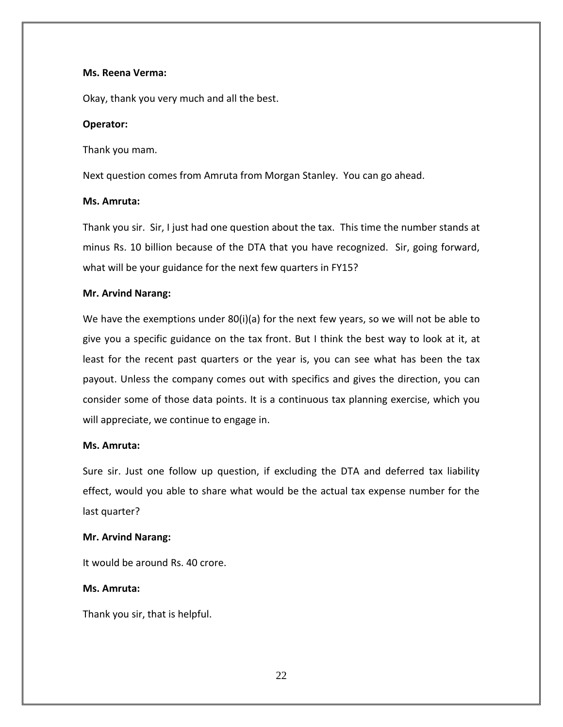### **Ms. Reena Verma:**

Okay, thank you very much and all the best.

### **Operator:**

Thank you mam.

Next question comes from Amruta from Morgan Stanley. You can go ahead.

### **Ms. Amruta:**

Thank you sir. Sir, I just had one question about the tax. This time the number stands at minus Rs. 10 billion because of the DTA that you have recognized. Sir, going forward, what will be your guidance for the next few quarters in FY15?

### **Mr. Arvind Narang:**

We have the exemptions under 80(i)(a) for the next few years, so we will not be able to give you a specific guidance on the tax front. But I think the best way to look at it, at least for the recent past quarters or the year is, you can see what has been the tax payout. Unless the company comes out with specifics and gives the direction, you can consider some of those data points. It is a continuous tax planning exercise, which you will appreciate, we continue to engage in.

### **Ms. Amruta:**

Sure sir. Just one follow up question, if excluding the DTA and deferred tax liability effect, would you able to share what would be the actual tax expense number for the last quarter?

# **Mr. Arvind Narang:**

It would be around Rs. 40 crore.

# **Ms. Amruta:**

Thank you sir, that is helpful.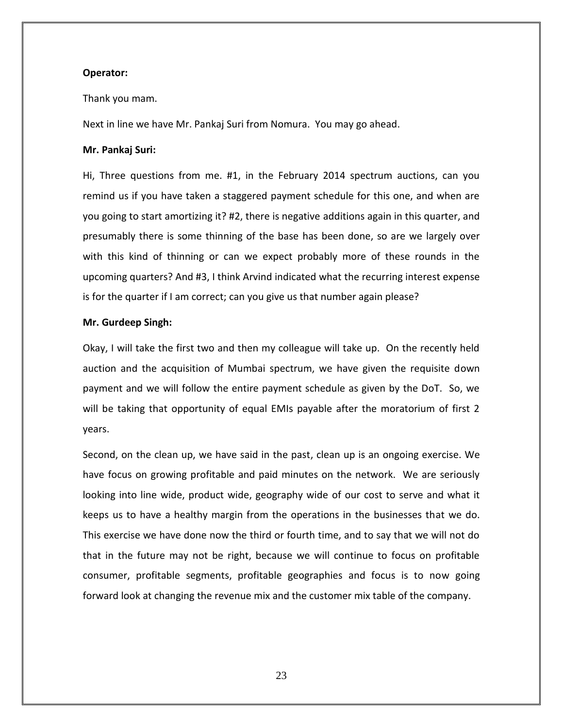### **Operator:**

#### Thank you mam.

Next in line we have Mr. Pankaj Suri from Nomura. You may go ahead.

#### **Mr. Pankaj Suri:**

Hi, Three questions from me. #1, in the February 2014 spectrum auctions, can you remind us if you have taken a staggered payment schedule for this one, and when are you going to start amortizing it? #2, there is negative additions again in this quarter, and presumably there is some thinning of the base has been done, so are we largely over with this kind of thinning or can we expect probably more of these rounds in the upcoming quarters? And #3, I think Arvind indicated what the recurring interest expense is for the quarter if I am correct; can you give us that number again please?

# **Mr. Gurdeep Singh:**

Okay, I will take the first two and then my colleague will take up. On the recently held auction and the acquisition of Mumbai spectrum, we have given the requisite down payment and we will follow the entire payment schedule as given by the DoT. So, we will be taking that opportunity of equal EMIs payable after the moratorium of first 2 years.

Second, on the clean up, we have said in the past, clean up is an ongoing exercise. We have focus on growing profitable and paid minutes on the network. We are seriously looking into line wide, product wide, geography wide of our cost to serve and what it keeps us to have a healthy margin from the operations in the businesses that we do. This exercise we have done now the third or fourth time, and to say that we will not do that in the future may not be right, because we will continue to focus on profitable consumer, profitable segments, profitable geographies and focus is to now going forward look at changing the revenue mix and the customer mix table of the company.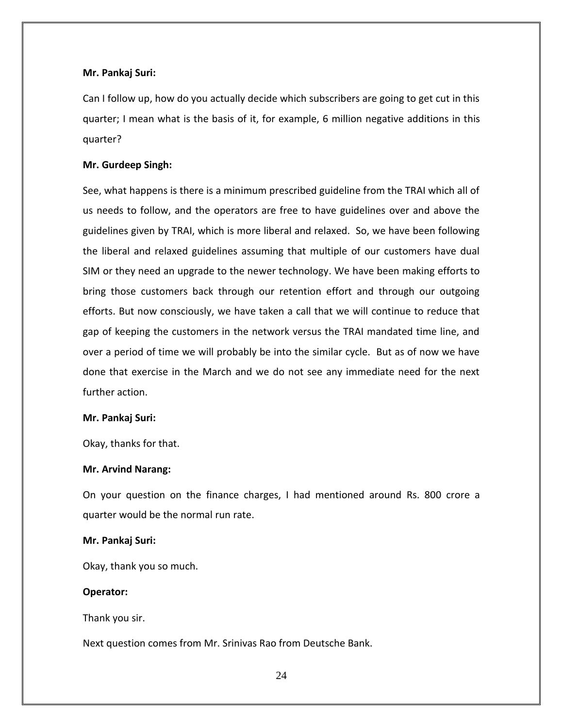# **Mr. Pankaj Suri:**

Can I follow up, how do you actually decide which subscribers are going to get cut in this quarter; I mean what is the basis of it, for example, 6 million negative additions in this quarter?

### **Mr. Gurdeep Singh:**

See, what happens is there is a minimum prescribed guideline from the TRAI which all of us needs to follow, and the operators are free to have guidelines over and above the guidelines given by TRAI, which is more liberal and relaxed. So, we have been following the liberal and relaxed guidelines assuming that multiple of our customers have dual SIM or they need an upgrade to the newer technology. We have been making efforts to bring those customers back through our retention effort and through our outgoing efforts. But now consciously, we have taken a call that we will continue to reduce that gap of keeping the customers in the network versus the TRAI mandated time line, and over a period of time we will probably be into the similar cycle. But as of now we have done that exercise in the March and we do not see any immediate need for the next further action.

#### **Mr. Pankaj Suri:**

Okay, thanks for that.

#### **Mr. Arvind Narang:**

On your question on the finance charges, I had mentioned around Rs. 800 crore a quarter would be the normal run rate.

#### **Mr. Pankaj Suri:**

Okay, thank you so much.

#### **Operator:**

Thank you sir.

Next question comes from Mr. Srinivas Rao from Deutsche Bank.

24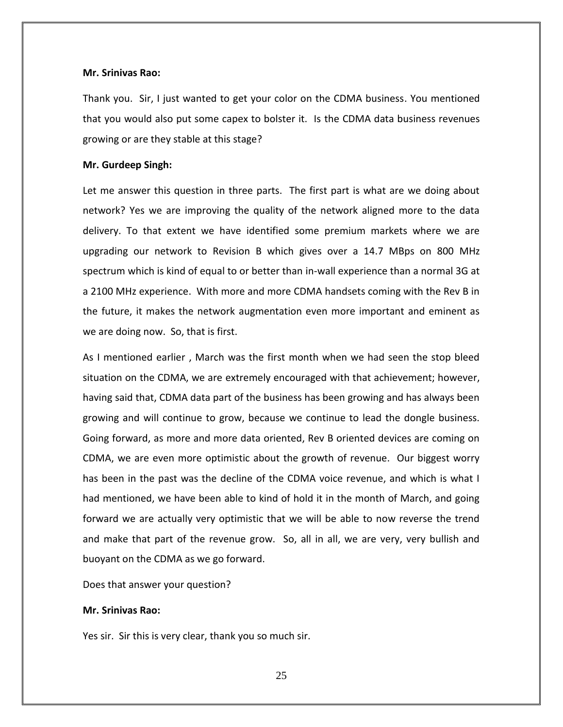#### **Mr. Srinivas Rao:**

Thank you. Sir, I just wanted to get your color on the CDMA business. You mentioned that you would also put some capex to bolster it. Is the CDMA data business revenues growing or are they stable at this stage?

#### **Mr. Gurdeep Singh:**

Let me answer this question in three parts. The first part is what are we doing about network? Yes we are improving the quality of the network aligned more to the data delivery. To that extent we have identified some premium markets where we are upgrading our network to Revision B which gives over a 14.7 MBps on 800 MHz spectrum which is kind of equal to or better than in-wall experience than a normal 3G at a 2100 MHz experience. With more and more CDMA handsets coming with the Rev B in the future, it makes the network augmentation even more important and eminent as we are doing now. So, that is first.

As I mentioned earlier , March was the first month when we had seen the stop bleed situation on the CDMA, we are extremely encouraged with that achievement; however, having said that, CDMA data part of the business has been growing and has always been growing and will continue to grow, because we continue to lead the dongle business. Going forward, as more and more data oriented, Rev B oriented devices are coming on CDMA, we are even more optimistic about the growth of revenue. Our biggest worry has been in the past was the decline of the CDMA voice revenue, and which is what I had mentioned, we have been able to kind of hold it in the month of March, and going forward we are actually very optimistic that we will be able to now reverse the trend and make that part of the revenue grow. So, all in all, we are very, very bullish and buoyant on the CDMA as we go forward.

Does that answer your question?

#### **Mr. Srinivas Rao:**

Yes sir. Sir this is very clear, thank you so much sir.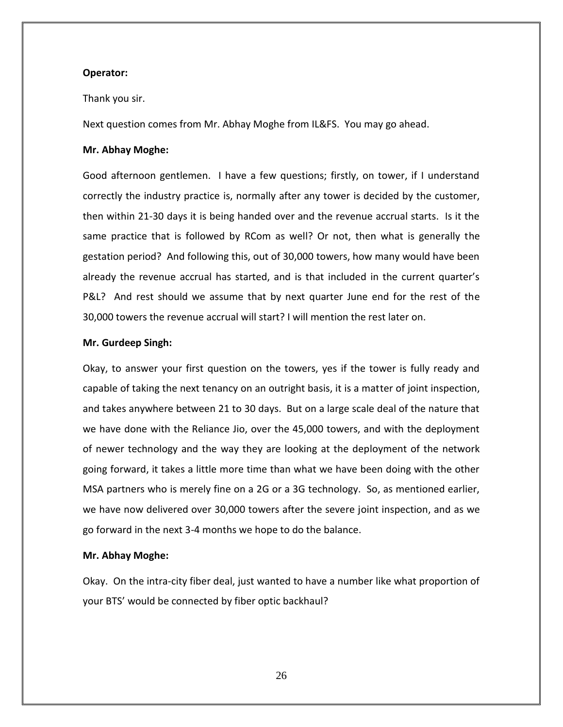# **Operator:**

#### Thank you sir.

Next question comes from Mr. Abhay Moghe from IL&FS. You may go ahead.

#### **Mr. Abhay Moghe:**

Good afternoon gentlemen. I have a few questions; firstly, on tower, if I understand correctly the industry practice is, normally after any tower is decided by the customer, then within 21-30 days it is being handed over and the revenue accrual starts. Is it the same practice that is followed by RCom as well? Or not, then what is generally the gestation period? And following this, out of 30,000 towers, how many would have been already the revenue accrual has started, and is that included in the current quarter's P&L? And rest should we assume that by next quarter June end for the rest of the 30,000 towers the revenue accrual will start? I will mention the rest later on.

### **Mr. Gurdeep Singh:**

Okay, to answer your first question on the towers, yes if the tower is fully ready and capable of taking the next tenancy on an outright basis, it is a matter of joint inspection, and takes anywhere between 21 to 30 days. But on a large scale deal of the nature that we have done with the Reliance Jio, over the 45,000 towers, and with the deployment of newer technology and the way they are looking at the deployment of the network going forward, it takes a little more time than what we have been doing with the other MSA partners who is merely fine on a 2G or a 3G technology. So, as mentioned earlier, we have now delivered over 30,000 towers after the severe joint inspection, and as we go forward in the next 3-4 months we hope to do the balance.

### **Mr. Abhay Moghe:**

Okay. On the intra-city fiber deal, just wanted to have a number like what proportion of your BTS' would be connected by fiber optic backhaul?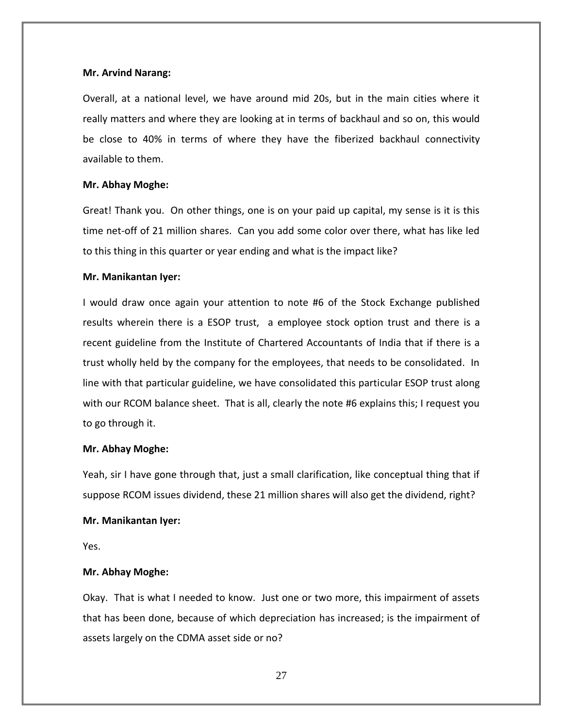Overall, at a national level, we have around mid 20s, but in the main cities where it really matters and where they are looking at in terms of backhaul and so on, this would be close to 40% in terms of where they have the fiberized backhaul connectivity available to them.

# **Mr. Abhay Moghe:**

Great! Thank you. On other things, one is on your paid up capital, my sense is it is this time net-off of 21 million shares. Can you add some color over there, what has like led to this thing in this quarter or year ending and what is the impact like?

# **Mr. Manikantan Iyer:**

I would draw once again your attention to note #6 of the Stock Exchange published results wherein there is a ESOP trust, a employee stock option trust and there is a recent guideline from the Institute of Chartered Accountants of India that if there is a trust wholly held by the company for the employees, that needs to be consolidated. In line with that particular guideline, we have consolidated this particular ESOP trust along with our RCOM balance sheet. That is all, clearly the note #6 explains this; I request you to go through it.

# **Mr. Abhay Moghe:**

Yeah, sir I have gone through that, just a small clarification, like conceptual thing that if suppose RCOM issues dividend, these 21 million shares will also get the dividend, right?

# **Mr. Manikantan Iyer:**

Yes.

# **Mr. Abhay Moghe:**

Okay. That is what I needed to know. Just one or two more, this impairment of assets that has been done, because of which depreciation has increased; is the impairment of assets largely on the CDMA asset side or no?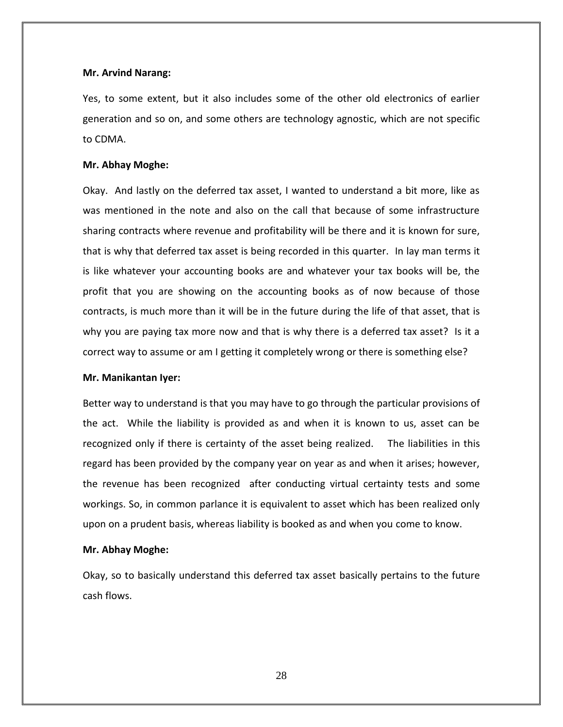Yes, to some extent, but it also includes some of the other old electronics of earlier generation and so on, and some others are technology agnostic, which are not specific to CDMA.

# **Mr. Abhay Moghe:**

Okay. And lastly on the deferred tax asset, I wanted to understand a bit more, like as was mentioned in the note and also on the call that because of some infrastructure sharing contracts where revenue and profitability will be there and it is known for sure, that is why that deferred tax asset is being recorded in this quarter. In lay man terms it is like whatever your accounting books are and whatever your tax books will be, the profit that you are showing on the accounting books as of now because of those contracts, is much more than it will be in the future during the life of that asset, that is why you are paying tax more now and that is why there is a deferred tax asset? Is it a correct way to assume or am I getting it completely wrong or there is something else?

#### **Mr. Manikantan Iyer:**

Better way to understand is that you may have to go through the particular provisions of the act. While the liability is provided as and when it is known to us, asset can be recognized only if there is certainty of the asset being realized. The liabilities in this regard has been provided by the company year on year as and when it arises; however, the revenue has been recognized after conducting virtual certainty tests and some workings. So, in common parlance it is equivalent to asset which has been realized only upon on a prudent basis, whereas liability is booked as and when you come to know.

#### **Mr. Abhay Moghe:**

Okay, so to basically understand this deferred tax asset basically pertains to the future cash flows.

28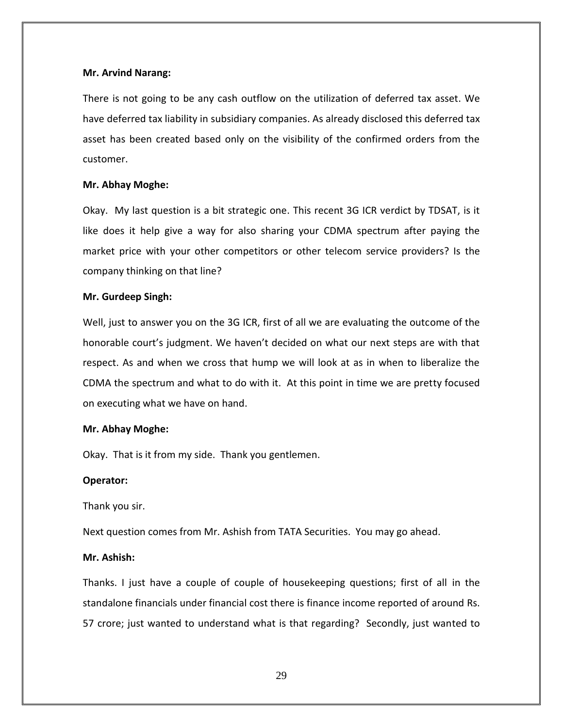There is not going to be any cash outflow on the utilization of deferred tax asset. We have deferred tax liability in subsidiary companies. As already disclosed this deferred tax asset has been created based only on the visibility of the confirmed orders from the customer.

# **Mr. Abhay Moghe:**

Okay. My last question is a bit strategic one. This recent 3G ICR verdict by TDSAT, is it like does it help give a way for also sharing your CDMA spectrum after paying the market price with your other competitors or other telecom service providers? Is the company thinking on that line?

#### **Mr. Gurdeep Singh:**

Well, just to answer you on the 3G ICR, first of all we are evaluating the outcome of the honorable court's judgment. We haven't decided on what our next steps are with that respect. As and when we cross that hump we will look at as in when to liberalize the CDMA the spectrum and what to do with it. At this point in time we are pretty focused on executing what we have on hand.

#### **Mr. Abhay Moghe:**

Okay. That is it from my side. Thank you gentlemen.

#### **Operator:**

Thank you sir.

Next question comes from Mr. Ashish from TATA Securities. You may go ahead.

# **Mr. Ashish:**

Thanks. I just have a couple of couple of housekeeping questions; first of all in the standalone financials under financial cost there is finance income reported of around Rs. 57 crore; just wanted to understand what is that regarding? Secondly, just wanted to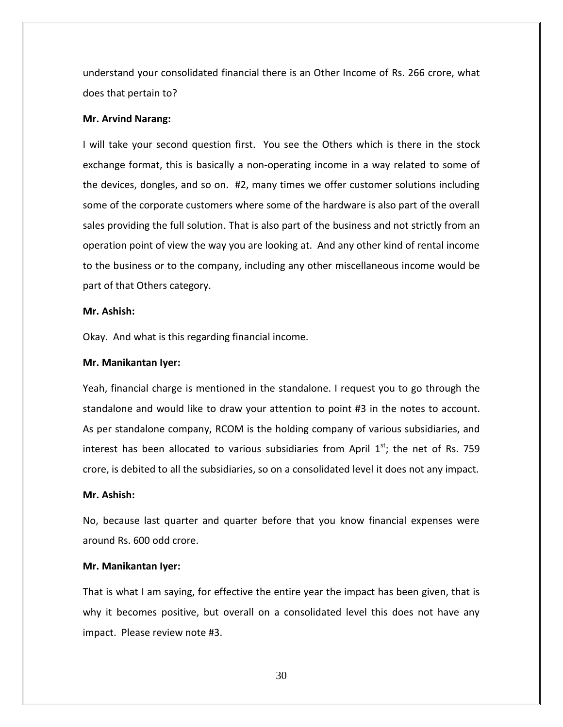understand your consolidated financial there is an Other Income of Rs. 266 crore, what does that pertain to?

#### **Mr. Arvind Narang:**

I will take your second question first. You see the Others which is there in the stock exchange format, this is basically a non-operating income in a way related to some of the devices, dongles, and so on. #2, many times we offer customer solutions including some of the corporate customers where some of the hardware is also part of the overall sales providing the full solution. That is also part of the business and not strictly from an operation point of view the way you are looking at. And any other kind of rental income to the business or to the company, including any other miscellaneous income would be part of that Others category.

### **Mr. Ashish:**

Okay. And what is this regarding financial income.

# **Mr. Manikantan Iyer:**

Yeah, financial charge is mentioned in the standalone. I request you to go through the standalone and would like to draw your attention to point #3 in the notes to account. As per standalone company, RCOM is the holding company of various subsidiaries, and interest has been allocated to various subsidiaries from April  $1<sup>st</sup>$ ; the net of Rs. 759 crore, is debited to all the subsidiaries, so on a consolidated level it does not any impact.

# **Mr. Ashish:**

No, because last quarter and quarter before that you know financial expenses were around Rs. 600 odd crore.

#### **Mr. Manikantan Iyer:**

That is what I am saying, for effective the entire year the impact has been given, that is why it becomes positive, but overall on a consolidated level this does not have any impact. Please review note #3.